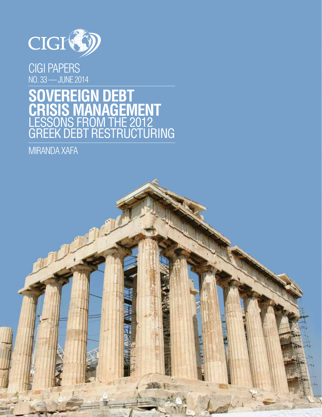

CIGI PAPERS NO. 33 — JUNE 2014

# **SOVEREIGN DEBT CRISIS MANAGEMENT** LESSONS FROM THE 2012 GREEK DEBT RESTRUCTURING

MIRANDA XAFA

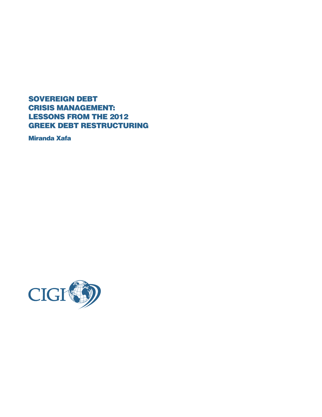SOVEREIGN DEBT CRISIS MANAGEMENT: LESSONS FROM THE 2012 GREEK DEBT RESTRUCTURING

Miranda Xafa

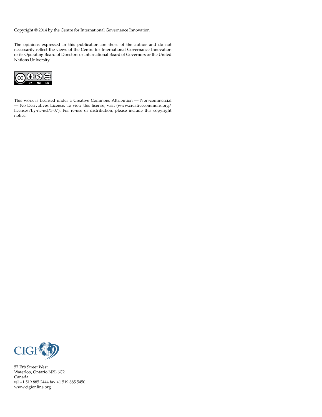Copyright © 2014 by the Centre for International Governance Innovation

The opinions expressed in this publication are those of the author and do not necessarily reflect the views of the Centre for International Governance Innovation or its Operating Board of Directors or International Board of Governors or the United Nations University.



This work is licensed under a Creative Commons Attribution — Non-commercial — No Derivatives License. To view this license, visit (www.creativecommons.org/ licenses/by-nc-nd/3.0/). For re-use or distribution, please include this copyright notice.



57 Erb Street West Waterloo, Ontario N2L 6C2 Canada tel +1 519 885 2444 fax +1 519 885 5450 www.cigionline.org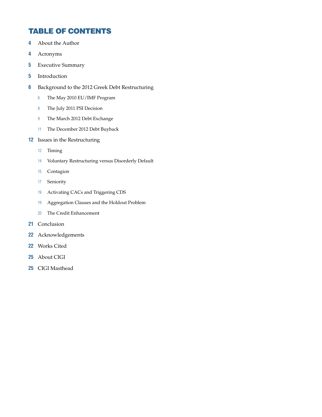# TABLE OF CONTENTS

- About the Author
- Acronyms
- Executive Summary
- Introduction
- Background to the 2012 Greek Debt Restructuring
	- The May 2010 EU/IMF Program
	- The July 2011 PSI Decision
	- The March 2012 Debt Exchange
	- The December 2012 Debt Buyback
- Issues in the Restructuring
	- Timing
	- Voluntary Restructuring versus Disorderly Default
	- Contagion
	- Seniority
	- Activating CACs and Triggering CDS
	- Aggregation Clauses and the Holdout Problem
	- The Credit Enhancement
- Conclusion
- Acknowledgements
- Works Cited
- About CIGI
- CIGI Masthead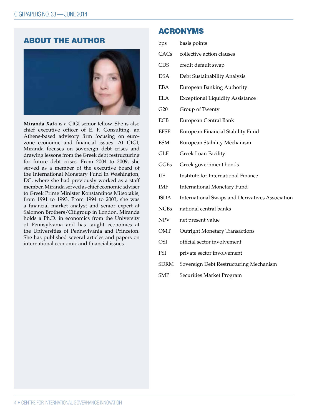# ABOUT THE AUTHOR



**Miranda Xafa** is a CIGI senior fellow. She is also chief executive officer of E. F. Consulting, an Athens-based advisory firm focusing on eurozone economic and financial issues. At CIGI, Miranda focuses on sovereign debt crises and drawing lessons from the Greek debt restructuring for future debt crises. From 2004 to 2009, she served as a member of the executive board of the International Monetary Fund in Washington, DC, where she had previously worked as a staff member. Miranda served as chief economic adviser to Greek Prime Minister Konstantinos Mitsotakis, from 1991 to 1993. From 1994 to 2003, she was a financial market analyst and senior expert at Salomon Brothers/Citigroup in London. Miranda holds a Ph.D. in economics from the University of Pennsylvania and has taught economics at the Universities of Pennsylvania and Princeton. She has published several articles and papers on international economic and financial issues.

## ACRONYMS

| bps | basis points |
|-----|--------------|
|     |              |

- CACs collective action clauses
- CDS credit default swap
- DSA Debt Sustainability Analysis
- EBA European Banking Authority
- ELA Exceptional Liquidity Assistance
- G20 Group of Twenty
- ECB European Central Bank
- EFSF European Financial Stability Fund
- ESM European Stability Mechanism
- GLF Greek Loan Facility
- GGBs Greek government bonds
- IIF Institute for International Finance
- IMF International Monetary Fund
- ISDA International Swaps and Derivatives Association
- NCBs national central banks
- NPV net present value
- OMT Outright Monetary Transactions
- OSI official sector involvement
- PSI private sector involvement
- SDRM Sovereign Debt Restructuring Mechanism
- SMP Securities Market Program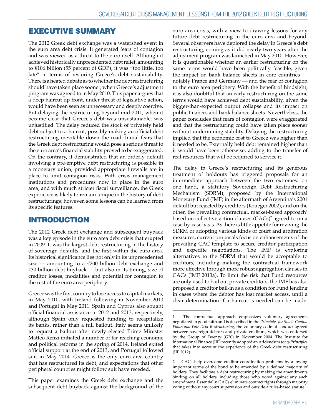# EXECUTIVE SUMMARY

The 2012 Greek debt exchange was a watershed event in the euro area debt crisis. It generated fears of contagion and was viewed as a threat to the euro itself. Although it achieved historically unprecedented debt relief, amounting to €106 billion (55 percent of GDP), it was "too little, too late" in terms of restoring Greece's debt sustainability. There is a heated debate as to whether the debt restructuring should have taken place sooner, when Greece's adjustment program was agreed to in May 2010. This paper argues that a deep haircut up front, under threat of legislative action, would have been seen as unnecessary and deeply coercive. But delaying the restructuring beyond mid-2011, when it became clear that Greece's debt was unsustainable, was unjustified. The delay reduced the stock of privately held debt subject to a haircut, possibly making an official debt restructuring inevitable down the road. Initial fears that the Greek debt restructuring would pose a serious threat to the euro area's financial stability proved to be exaggerated. On the contrary, it demonstrated that an orderly default involving a pre-emptive debt restructuring is possible in a monetary union, provided appropriate firewalls are in place to limit contagion risks. With crisis management institutions and procedures now in place in the euro area, and with much stricter fiscal surveillance, the Greek experience is likely to remain unique in the history of debt restructurings; however, some lessons can be learned from its specific features.

# INTRODUCTION

The 2012 Greek debt exchange and subsequent buyback was a key episode in the euro area debt crisis that erupted in 2009. It was the largest debt restructuring in the history of sovereign defaults, and the first within the euro area. Its historical significance lies not only in its unprecedented size — amounting to a  $E200$  billion debt exchange and €30 billion debt buyback — but also in its timing, size of creditor losses, modalities and potential for contagion to the rest of the euro area periphery.

Greece was the first country to lose access to capital markets, in May 2010, with Ireland following in November 2010 and Portugal in May 2011. Spain and Cyprus also sought official financial assistance in 2012 and 2013, respectively, although Spain only requested funding to recapitalize its banks, rather than a full bailout. Italy seems unlikely to request a bailout after newly elected Prime Minister Matteo Renzi initiated a number of far-reaching economic and political reforms in the spring of 2014. Ireland exited official support at the end of 2013, and Portugal followed suit in May 2014. Greece is the only euro area country that has restructured its debt, and expectations that other peripheral countries might follow suit have receded.

This paper examines the Greek debt exchange and the subsequent debt buyback against the background of the

euro area crisis, with a view to drawing lessons for any future debt restructuring in the euro area and beyond. Several observers have deplored the delay in Greece's debt restructuring, coming as it did nearly two years after the adjustment program was launched in May 2010. However, it is questionable whether an earlier restructuring on the same terms would have been politically feasible, given the impact on bank balance sheets in core countries notably France and Germany — and the fear of contagion to the euro area periphery. With the benefit of hindsight, it is also doubtful that an early restructuring on the same terms would have achieved debt sustainability, given the bigger-than-expected output collapse and its impact on public finances and bank balance sheets. Nevertheless, the paper concludes that fears of contagion were exaggerated and that the restructuring could have taken place sooner without undermining stability. Delaying the restructuring implied that the economic cost to Greece was higher than it needed to be. Externally held debt remained higher than it would have been otherwise, adding to the transfer of real resources that will be required to service it.

The delay in Greece's restructuring and its generous treatment of holdouts has triggered proposals for an intermediate approach between the two extremes: on one hand, a statutory Sovereign Debt Restructuring Mechanism (SDRM), proposed by the International Monetary Fund (IMF) in the aftermath of Argentina's 2001 default but rejected by creditors (Krueger 2002), and on the other, the prevailing contractual, market-based approach<sup>1</sup> based on collective action clauses (CACs)<sup>2</sup> agreed to on a case-by-case basis. As there is little appetite for reviving the SDRM or adopting various kinds of court and arbitration measures, current proposals focus on enhancements of the prevailing CAC template to secure creditor participation and expedite negotiations. The IMF is exploring alternatives to the SDRM that would be acceptable to creditors, including making the contractual framework more effective through more robust aggregation clauses in CACs (IMF 2013a). To limit the risk that Fund resources are only used to bail out private creditors, the IMF has also proposed a creditor bail-in as a condition for Fund lending in cases where the debtor has lost market access, until a clear determination if a haircut is needed can be made.

<sup>1</sup> The contractual approach emphasizes voluntary agreements negotiated in good faith and is described in the *Principles for Stable Capital Flows and Fair Debt Restructuring*, the voluntary code of conduct agreed between sovereign debtors and private creditors, which was endorsed by the Group of Twenty (G20) in November 2004. The Institute for International Finance (IIF) recently adopted an Addendum to its *Principles* that takes into account the experience of the Greek debt restructuring (IIF 2012).

<sup>2</sup> CACs help overcome creditor coordination problems by allowing important terms of the bond to be amended by a defined majority of holders. They facilitate a debt restructuring by making the amendments binding on all holders, including those who voted against any such amendment. Essentially, CACs eliminate contract rights through majority voting without any court supervision and outside a rules-based statute.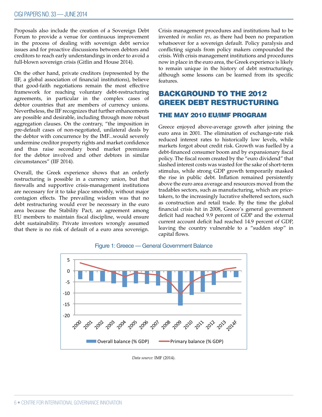Proposals also include the creation of a Sovereign Debt Forum to provide a venue for continuous improvement in the process of dealing with sovereign debt service issues and for proactive discussions between debtors and creditors to reach early understandings in order to avoid a full-blown sovereign crisis (Gitlin and House 2014).

On the other hand, private creditors (represented by the IIF, a global association of financial institutions), believe that good-faith negotiations remain the most effective framework for reaching voluntary debt-restructuring agreements, in particular in the complex cases of debtor countries that are members of currency unions. Nevertheless, the IIF recognizes that further enhancements are possible and desirable, including through more robust aggregation clauses. On the contrary, "the imposition in pre-default cases of non-negotiated, unilateral deals by the debtor with concurrence by the IMF...would severely undermine creditor property rights and market confidence and thus raise secondary bond market premiums for the debtor involved and other debtors in similar circumstances" (IIF 2014).

Overall, the Greek experience shows that an orderly restructuring is possible in a currency union, but that firewalls and supportive crisis-management institutions are necessary for it to take place smoothly, without major contagion effects. The prevailing wisdom was that no debt restructuring would ever be necessary in the euro area because the Stability Pact, an agreement among EU members to maintain fiscal discipline, would ensure debt sustainability. Private investors wrongly assumed that there is no risk of default of a euro area sovereign.

Crisis management procedures and institutions had to be invented *in medias res,* as there had been no preparation whatsoever for a sovereign default. Policy paralysis and conflicting signals from policy makers compounded the crisis. With crisis management institutions and procedures now in place in the euro area, the Greek experience is likely to remain unique in the history of debt restructurings, although some lessons can be learned from its specific features.

# BACKGROUND TO THE 2012 GREEK DEBT RESTRUCTURING

#### THE MAY 2010 EU/IMF PROGRAM

Greece enjoyed above-average growth after joining the euro area in 2001. The elimination of exchange-rate risk reduced interest rates to historically low levels, while markets forgot about credit risk. Growth was fuelled by a debt-financed consumer boom and by expansionary fiscal policy. The fiscal room created by the "euro dividend" that slashed interest costs was wasted for the sake of short-term stimulus, while strong GDP growth temporarily masked the rise in public debt. Inflation remained persistently above the euro area average and resources moved from the tradables sectors, such as manufacturing, which are pricetakers, to the increasingly lucrative sheltered sectors, such as construction and retail trade. By the time the global financial crisis hit in 2008, Greece's general government deficit had reached 9.9 percent of GDP and the external current account deficit had reached 14.9 percent of GDP, leaving the country vulnerable to a "sudden stop" in capital flows.



Figure 1: Greece — General Government Balance

*Data source:* IMF (2014).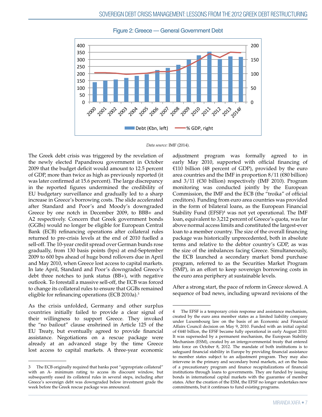

Figure 2: Greece — General Government Debt

#### *Data source:* IMF (2014).

The Greek debt crisis was triggered by the revelation of the newly elected Papandreou government in October 2009 that the budget deficit would amount to 12.5 percent of GDP, more than twice as high as previously reported (it was later confirmed at 15.6 percent). The large discrepancy in the reported figures undermined the credibility of EU budgetary surveillance and gradually led to a sharp increase in Greece's borrowing costs. The slide accelerated after Standard and Poor's and Moody's downgraded Greece by one notch in December 2009, to BBB+ and A2 respectively. Concern that Greek government bonds (GGBs) would no longer be eligible for European Central Bank (ECB) refinancing operations after collateral rules returned to pre-crisis levels at the end of 2010 fuelled a sell-off. The 10-year credit spread over German bunds rose gradually, from 130 basis points (bps) at end-September 2009 to 600 bps ahead of huge bond rollovers due in April and May 2010, when Greece lost access to capital markets. In late April, Standard and Poor's downgraded Greece's debt three notches to junk status (BB+), with negative outlook. To forestall a massive sell-off, the ECB was forced to change its collateral rules to ensure that GGBs remained eligible for refinancing operations (ECB 2010a).<sup>3</sup>

As the crisis unfolded, Germany and other surplus countries initially failed to provide a clear signal of their willingness to support Greece. They invoked the "no bailout" clause enshrined in Article 125 of the EU Treaty, but eventually agreed to provide financial assistance. Negotiations on a rescue package were already at an advanced stage by the time Greece lost access to capital markets. A three-year economic adjustment program was formally agreed to in early May 2010, supported with official financing of €110 billion (48 percent of GDP), provided by the euro area countries and the IMF in proportion  $8/11$  ( $\epsilon$ 80 billion) and 3/11 (€30 billion) respectively (IMF 2010). Program monitoring was conducted jointly by the European Commission, the IMF and the ECB (the "troika" of official creditors). Funding from euro area countries was provided in the form of bilateral loans, as the European Financial Stability Fund (EFSF)<sup>4</sup> was not yet operational. The IMF loan, equivalent to 3,212 percent of Greece's quota, was far above normal access limits and constituted the largest-ever loan to a member country. The size of the overall financing package was historically unprecedented, both in absolute terms and relative to the debtor country's GDP, as was the size of the imbalances facing Greece. Simultaneously, the ECB launched a secondary market bond purchase program, referred to as the Securities Market Program (SMP), in an effort to keep sovereign borrowing costs in the euro area periphery at sustainable levels.

After a strong start, the pace of reform in Greece slowed. A sequence of bad news, including upward revisions of the

<sup>3</sup> The ECB originally required that banks post "appropriate collateral" with an A- minimum rating to access its discount window, but subsequently eased its collateral rules in several steps, including after Greece's sovereign debt was downgraded below investment grade the week before the Greek rescue package was announced.

<sup>4</sup> The EFSF is a temporary crisis response and assistance mechanism, created by the euro area member states as a limited liability company under Luxembourg law on the basis of an Economic and Financial Affairs Council decision on May 9, 2010. Funded with an initial capital of €440 billion, the EFSF became fully operational in early August 2010. It was superseded by a permanent mechanism, the European Stability Mechanism (ESM), created by an intergovernmental treaty that entered into force on October 8, 2012. The mandate of both institutions is to safeguard financial stability in Europe by providing financial assistance to member states subject to an adjustment program. They may also intervene in the primary and secondary bond markets, act on the basis of a precautionary program and finance recapitalizations of financial institutions through loans to governments. They are funded by issuing bonds in international capital markets with the guarantee of member states. After the creation of the ESM, the EFSF no longer undertakes new commitments, but it continues to fund existing programs.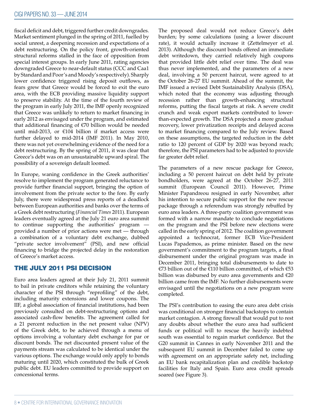fiscal deficit and debt, triggered further credit downgrades. Market sentiment plunged in the spring of 2011, fuelled by social unrest, a deepening recession and expectations of a debt restructuring. On the policy front, growth-oriented structural reforms stalled in the face of opposition from special interest groups. In early June 2011, rating agencies downgraded Greece to near-default status (CCC and Caa1 by Standard and Poor's and Moody's respectively). Sharply lower confidence triggered rising deposit outflows, as fears grew that Greece would be forced to exit the euro area, with the ECB providing massive liquidity support to preserve stability. At the time of the fourth review of the program in early July 2011, the IMF openly recognized that Greece was unlikely to return to market financing in early 2012 as envisaged under the program, and estimated that additional financing of  $\epsilon$ 70 billion would be needed until mid-2013, or  $\epsilon$ 104 billion if market access were further delayed to mid-2014 (IMF 2011). In May 2010, there was not yet overwhelming evidence of the need for a debt restructuring. By the spring of 2011, it was clear that Greece's debt was on an unsustainable upward spiral. The possibility of a sovereign default loomed.

In Europe, waning confidence in the Greek authorities' resolve to implement the program generated reluctance to provide further financial support, bringing the option of involvement from the private sector to the fore. By early July, there were widespread press reports of a deadlock between European authorities and banks over the terms of a Greek debt restructuring (*Financial Times* 2011). European leaders eventually agreed at the July 21 euro area summit to continue supporting the authorities' program provided a number of prior actions were met — through a combination of a voluntary debt exchange, dubbed "private sector involvement" (PSI), and new official financing to bridge the projected delay in the restoration of Greece's market access.

### THE JULY 2011 PSI DECISION

Euro area leaders agreed at their July 21, 2011 summit to bail in private creditors while retaining the voluntary character of the PSI through "reprofiling" of the debt, including maturity extensions and lower coupons. The IIF, a global association of financial institutions, had been previously consulted on debt-restructuring options and associated cash-flow benefits. The agreement called for a 21 percent reduction in the net present value (NPV) of the Greek debt, to be achieved through a menu of options involving a voluntary debt exchange for par or discount bonds. The net discounted present value of the payments stream was calculated to be identical under the various options. The exchange would only apply to bonds maturing until 2020, which constituted the bulk of Greek public debt. EU leaders committed to provide support on concessional terms.

The proposed deal would not reduce Greece's debt burden; by some calculations (using a lower discount rate), it would actually increase it (Zettelmeyer et al. 2013). Although the discount bonds offered an immediate debt writedown, they carried relatively high coupons that provided little debt relief over time. The deal was thus never implemented, and the parameters of a new deal, involving a 50 percent haircut, were agreed to at the October 26-27 EU summit. Ahead of the summit, the IMF issued a revised Debt Sustainability Analysis (DSA), which noted that the economy was adjusting through recession rather than growth-enhancing structural reforms, putting the fiscal targets at risk. A severe credit crunch and weak export markets contributed to lowerthan-expected growth. The DSA projected a more gradual recovery, lower privatization receipts and delayed access to market financing compared to the July review. Based on these assumptions, the targeted reduction in the debt ratio to 120 percent of GDP by 2020 was beyond reach; therefore, the PSI parameters had to be adjusted to provide far greater debt relief.

The parameters of a new rescue package for Greece, including a 50 percent haircut on debt held by private bondholders, were agreed at the October 26-27, 2011 summit (European Council 2011). However, Prime Minister Papandreou resigned in early November, after his intention to secure public support for the new rescue package through a referendum was strongly rebuffed by euro area leaders. A three-party coalition government was formed with a narrow mandate to conclude negotiations on the program and the PSI before new elections were called in the early spring of 2012. The coalition government appointed a technocrat, former ECB Vice-President Lucas Papademos, as prime minister. Based on the new government's commitment to the program targets, a final disbursement under the original program was made in December 2011, bringing total disbursements to date to €73 billion out of the €110 billion committed, of which €53 billion was disbursed by euro area governments and €20 billion came from the IMF. No further disbursements were envisaged until the negotiations on a new program were completed.

The PSI's contribution to easing the euro area debt crisis was conditional on stronger financial backstops to contain market contagion. A strong firewall that would put to rest any doubts about whether the euro area had sufficient funds or political will to rescue the heavily indebted south was essential to regain market confidence. But the G20 summit in Cannes in early November 2011 and the subsequent EU summit in December failed to come up with agreement on an appropriate safety net, including an EU bank recapitalization plan and credible backstop facilities for Italy and Spain. Euro area credit spreads soared (see Figure 3).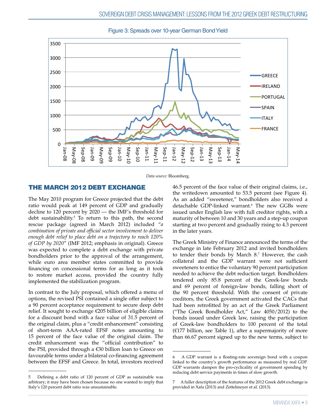

Figure 3: Spreads over 10-year German Bond Yield

*Data source:* Bloomberg.

### THE MARCH 2012 DEBT EXCHANGE

The May 2010 program for Greece projected that the debt ratio would peak at 149 percent of GDP and gradually decline to 120 percent by 2020 — the IMF's threshold for debt sustainability.<sup>5</sup> To return to this path, the second rescue package (agreed in March 2012) included "*a combination of private and official sector involvement to deliver enough debt relief to place debt on a trajectory to reach 120% of GDP by 2020*" (IMF 2012; emphasis in original). Greece was expected to complete a debt exchange with private bondholders prior to the approval of the arrangement, while euro area member states committed to provide financing on concessional terms for as long as it took to restore market access, provided the country fully implemented the stabilization program.

In contrast to the July proposal, which offered a menu of options, the revised PSI contained a single offer subject to a 90 percent acceptance requirement to secure deep debt relief. It sought to exchange €205 billion of eligible claims for a discount bond with a face value of 31.5 percent of the original claim, plus a "credit enhancement" consisting of short-term AAA-rated EFSF notes amounting to 15 percent of the face value of the original claim. The credit enhancement was the "official contribution" to the PSI, provided through a €30 billion loan to Greece on favourable terms under a bilateral co-financing agreement between the EFSF and Greece. In total, investors received 46.5 percent of the face value of their original claims, i.e., the writedown amounted to 53.5 percent (see Figure 4). As an added "sweetener," bondholders also received a detachable GDP-linked warrant.<sup>6</sup> The new GGBs were issued under English law with full creditor rights, with a maturity of between 10 and 30 years and a step-up coupon starting at two percent and gradually rising to 4.3 percent in the later years.

The Greek Ministry of Finance announced the terms of the exchange in late February 2012 and invited bondholders to tender their bonds by March 8.7 However, the cash collateral and the GDP warrant were not sufficient sweeteners to entice the voluntary 90 percent participation needed to achieve the debt reduction target. Bondholders tendered only 85.8 percent of the Greek-law bonds and 69 percent of foreign-law bonds, falling short of the 90 percent threshold. With the consent of private creditors, the Greek government activated the CACs that had been retrofitted by an act of the Greek Parliament ("The Greek Bondholder Act," Law 4050/2012) to the bonds issued under Greek law, raising the participation of Greek-law bondholders to 100 percent of the total  $($ £177 billion, see Table 1), after a supermajority of more than 66.67 percent signed up to the new terms, subject to

<sup>5</sup> Defining a debt ratio of 120 percent of GDP as sustainable was arbitrary; it may have been chosen because no one wanted to imply that Italy's 120 percent debt ratio was unsustainable.

<sup>6</sup> A GDP warrant is a floating-rate sovereign bond with a coupon linked to the country's growth performance as measured by real GDP. GDP warrants dampen the pro-cyclicality of government spending by reducing debt service payments in times of slow growth.

<sup>7</sup> A fuller description of the features of the 2012 Greek debt exchange is provided in Xafa (2013) and Zettelmeyer et al. (2013).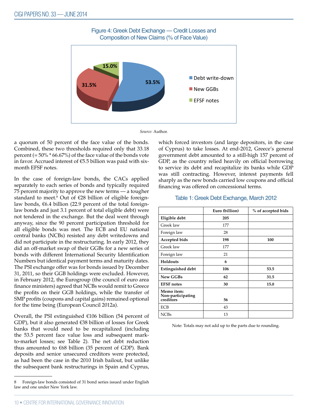

*Source:* Author.

a quorum of 50 percent of the face value of the bonds. Combined, these two thresholds required only that 33.18 percent  $(= 50\% * 66.67\%)$  of the face value of the bonds vote in favor. Accrued interest of €5.5 billion was paid with sixmonth EFSF notes.

In the case of foreign-law bonds, the CACs applied separately to each series of bonds and typically required 75 percent majority to approve the new terms — a tougher standard to meet.<sup>8</sup> Out of €28 billion of eligible foreignlaw bonds, €6.4 billion (22.9 percent of the total foreignlaw bonds and just 3.1 percent of total eligible debt) were not tendered in the exchange. But the deal went through anyway, since the 90 percent participation threshold for all eligible bonds was met. The ECB and EU national central banks (NCBs) resisted any debt writedowns and did not participate in the restructuring. In early 2012, they did an off-market swap of their GGBs for a new series of bonds with different International Security Identification Numbers but identical payment terms and maturity dates. The PSI exchange offer was for bonds issued by December 31, 2011, so their GGB holdings were excluded. However, in February 2012, the Eurogroup (the council of euro area finance ministers) agreed that NCBs would remit to Greece the profits on their GGB holdings, while the transfer of SMP profits (coupons and capital gains) remained optional for the time being (European Council 2012a).

Overall, the PSI extinguished  $£106$  billion (54 percent of GDP), but it also generated €38 billion of losses for Greek banks that would need to be recapitalized (including the 53.5 percent face value loss and subsequent markto-market losses; see Table 2). The net debt reduction thus amounted to  $€68$  billion (35 percent of GDP). Bank deposits and senior unsecured creditors were protected, as had been the case in the 2010 Irish bailout, but unlike the subsequent bank restructurings in Spain and Cyprus,

which forced investors (and large depositors, in the case of Cyprus) to take losses. At end-2012, Greece's general government debt amounted to a still-high 157 percent of GDP, as the country relied heavily on official borrowing to service its debt and recapitalize its banks while GDP was still contracting. However, interest payments fell sharply as the new bonds carried low coupons and official financing was offered on concessional terms.

#### Table 1: Greek Debt Exchange, March 2012

|                                              | Euro (billion) | % of accepted bids |
|----------------------------------------------|----------------|--------------------|
| Eligible debt                                | 205            |                    |
| Greek law                                    | 177            |                    |
| Foreign law                                  | 28             |                    |
| Accepted bids                                | 198            | 100                |
| Greek law                                    | 177            |                    |
| Foreign law                                  | 21             |                    |
| Holdouts                                     | 6              |                    |
| <b>Extinguished debt</b>                     | 106            | 53.5               |
| <b>New GGBs</b>                              | 62             | 31.5               |
| <b>EFSF</b> notes                            | 30             | 15.0               |
| Memo item:<br>Non-participating<br>creditors | 56             |                    |
| <b>ECB</b>                                   | 43             |                    |
| <b>NCBs</b>                                  | 13             |                    |

Note: Totals may not add up to the parts due to rounding.

Foreign-law bonds consisted of 31 bond series issued under English law and one under New York law.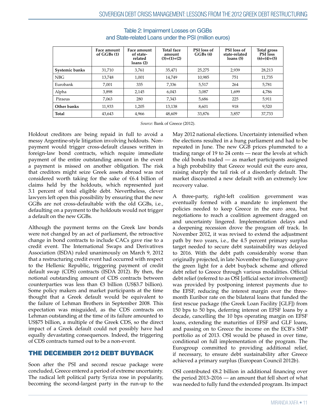|                | Face amount<br>of $GGBs(1)$ | Face amount<br>of state-<br>related<br>loans(2) | <b>Total face</b><br>amount<br>$(3)=(1)+(2)$ | PSI loss of<br>GGBs(4) | PSI loss of<br>state-related<br>loans(5) | Total gross<br><b>PSI</b> loss<br>$(6)=(4)+(5)$ |
|----------------|-----------------------------|-------------------------------------------------|----------------------------------------------|------------------------|------------------------------------------|-------------------------------------------------|
| Systemic banks | 31,710                      | 3,761                                           | 35,471                                       | 25,275                 | 2,939                                    | 28,213                                          |
| <b>NBG</b>     | 13,748                      | 1,001                                           | 14.749                                       | 10,985                 | 751                                      | 11,735                                          |
| Eurobank       | 7.001                       | 335                                             | 7,336                                        | 5,517                  | 264                                      | 5,781                                           |
| Alpha          | 3.898                       | 2.145                                           | 6.043                                        | 3,087                  | 1.699                                    | 4,786                                           |
| Piraeus        | 7,063                       | 280                                             | 7,343                                        | 5,686                  | 225                                      | 5,911                                           |
| Other banks    | 11,933                      | 1,205                                           | 13.138                                       | 8.601                  | 918                                      | 9.520                                           |
| Total          | 43,643                      | 4,966                                           | 48,609                                       | 33,876                 | 3,857                                    | 37,733                                          |

Table 2: Impairment Losses on GGBs and State-related Loans under the PSI (million euros)

*Source:* Bank of Greece (2012).

Holdout creditors are being repaid in full to avoid a messy Argentine-style litigation involving holdouts. Nonpayment would trigger cross-default clauses written in foreign-law bond contracts, which require immediate payment of the entire outstanding amount in the event a payment is missed on another obligation. The risk that creditors might seize Greek assets abroad was not considered worth taking for the sake of €6.4 billion of claims held by the holdouts, which represented just 3.1 percent of total eligible debt. Nevertheless, clever lawyers left open this possibility by ensuring that the new GGBs are not cross-defaultable with the old GGBs, i.e., defaulting on a payment to the holdouts would not trigger a default on the new GGBs.

Although the payment terms on the Greek law bonds were not changed by an act of parliament, the retroactive change in bond contracts to include CACs gave rise to a credit event. The International Swaps and Derivatives Association (ISDA) ruled unanimously on March 9, 2012 that a restructuring credit event had occurred with respect to the Hellenic Republic, triggering payment of credit default swap (CDS) contracts (ISDA 2012). By then, the notional outstanding amount of CDS contracts between counterparties was less than €3 billion (US\$3.7 billion). Some policy makers and market participants at the time thought that a Greek default would be equivalent to the failure of Lehman Brothers in September 2008. This expectation was misguided, as the CDS contracts on Lehman outstanding at the time of its failure amounted to US\$75 billion, a multiple of the Greek CDS, so the direct impact of a Greek default could not possibly have had equally devastating consequences. Indeed, the triggering of CDS contracts turned out to be a non-event.

## THE DECEMBER 2012 DEBT BUYBACK

Soon after the PSI and second rescue package were concluded, Greece entered a period of extreme uncertainty. The radical left political party Syriza rose in popularity, becoming the second-largest party in the run-up to the

May 2012 national elections. Uncertainty intensified when the elections resulted in a hung parliament and had to be repeated in June. The new GGB prices plummeted to a trading range of 19 to 24 cents — near the levels at which the old bonds traded — as market participants assigned a high probability that Greece would exit the euro area, raising sharply the tail risk of a disorderly default. The market discounted a new default with an extremely low recovery value.

A three-party, right-left coalition government was eventually formed with a mandate to implement the policies needed to keep Greece in the euro area, but negotiations to reach a coalition agreement dragged on and uncertainty lingered. Implementation delays and a deepening recession drove the program off track. In November 2012, it was revised to extend the adjustment path by two years, i.e., the 4.5 percent primary surplus target needed to secure debt sustainability was delayed to 2016. With the debt path considerably worse than originally projected, in late November the Eurogroup gave the green light for a debt buyback scheme and offered debt relief to Greece through various modalities. Official debt relief (referred to as OSI [official sector involvement]) was provided by postponing interest payments due to the EFSF, reducing the interest margin over the threemonth Euribor rate on the bilateral loans that funded the first rescue package (the Greek Loan Facility [GLF]) from 150 bps to 50 bps, deferring interest on EFSF loans by a decade, cancelling the 10 bps operating margin on EFSF loans, extending the maturities of EFSF and GLF loans, and passing on to Greece the income on the ECB's SMP portfolio as of 2013. OSI would be phased in over time, conditional on full implementation of the program. The Eurogroup committed to providing additional relief, if necessary, to ensure debt sustainability after Greece achieved a primary surplus (European Council 2012b).

OSI contributed €8.2 billion in additional financing over the period 2013–2016 — an amount that fell short of what was needed to fully fund the extended program. Its impact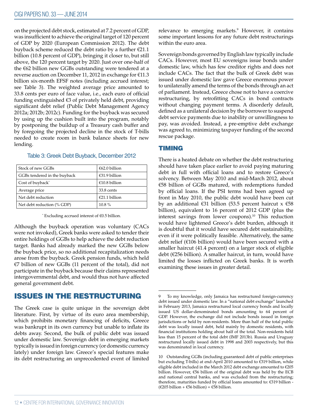on the projected debt stock, estimated at 7.2 percent of GDP, was insufficient to achieve the original target of 120 percent of GDP by 2020 (European Commission 2012). The debt buyback scheme reduced the debt ratio by a further  $\epsilon$ 21.1 billion (10.8 percent of GDP), bringing it closer to, but still above, the 120 percent target by 2020. Just over one-half of the €62 billion new GGBs outstanding were tendered at a reverse auction on December 11, 2012 in exchange for €11.3 billion six-month EFSF notes (including accrued interest; see Table 3). The weighted average price amounted to 33.8 cents per euro of face value, i.e., each euro of official funding extinguished €3 of privately held debt, providing significant debt relief (Public Debt Management Agency 2012a; 2012b; 2012c). Funding for the buyback was secured by using up the cushion built into the program, notably by postponing the buildup of a Treasury cash buffer and by foregoing the projected decline in the stock of T-bills needed to create room in bank balance sheets for new lending.

| Stock of new GGBs            | €62.0 billion |
|------------------------------|---------------|
| GGBs tendered in the buyback | €31.9 billion |
| Cost of buyback <sup>*</sup> | €10.8 billion |
| Average price                | 33.8 cents    |
| Net debt reduction           | €21.1 billion |
| Net debt reduction (% GDP)   | $10.8\%$      |

#### Table 3: Greek Debt Buyback, December 2012

\* Excluding accrued interest of €0.5 billion.

Although the buyback operation was voluntary (CACs were not invoked), Greek banks were asked to tender their entire holdings of GGBs to help achieve the debt reduction target. Banks had already marked the new GGBs below the buyback price, so no additional recapitalization needs arose from the buyback. Greek pension funds, which held €7 billion of new GGBs (11 percent of the total), did not participate in the buyback because their claims represented intergovernmental debt, and would thus not have affected general government debt.

### ISSUES IN THE RESTRUCTURING

The Greek case is quite unique in the sovereign debt literature. First, by virtue of its euro area membership, which prohibits monetary financing of deficits, Greece was bankrupt in its own currency but unable to inflate its debts away. Second, the bulk of public debt was issued under domestic law. Sovereign debt in emerging markets typically is issued in foreign currency (or domestic currency lately) under foreign law. Greece's special features make its debt restructuring an unprecedented event of limited

relevance to emerging markets.<sup>9</sup> However, it contains some important lessons for any future debt restructurings within the euro area.

Sovereign bonds governed by English law typically include CACs. However, most EU sovereigns issue bonds under domestic law, which has few creditor rights and does not include CACs. The fact that the bulk of Greek debt was issued under domestic law gave Greece enormous power to unilaterally amend the terms of the bonds through an act of parliament. Instead, Greece chose not to have a coercive restructuring, by retrofitting CACs in bond contracts without changing payment terms. A disorderly default, defined as a unilateral decision by the borrower to suspend debt service payments due to inability or unwillingness to pay, was avoided. Instead, a pre-emptive debt exchange was agreed to, minimizing taxpayer funding of the second rescue package.

### TIMING

There is a heated debate on whether the debt restructuring should have taken place earlier to avoid paying maturing debt in full with official loans and to restore Greece's solvency. Between May 2010 and mid-March 2012, about €58 billion of GGBs matured, with redemptions funded by official loans. If the PSI terms had been agreed up front in May 2010, the public debt would have been cut by an additional  $\epsilon$ 31 billion (53.5 percent haircut x  $\epsilon$ 58 billion), equivalent to 16 percent of 2012 GDP (plus the interest savings from lower coupons).<sup>10</sup> This reduction would have lightened Greece's debt burden, although it is doubtful that it would have secured debt sustainability, even if it were politically feasible. Alternatively, the same debt relief (€106 billion) would have been secured with a smaller haircut (41.4 percent) on a larger stock of eligible debt (€256 billion). A smaller haircut, in turn, would have limited the losses inflicted on Greek banks. It is worth examining these issues in greater detail.

<sup>9</sup> To my knowledge, only Jamaica has restructured foreign-currency debt issued under domestic law. In a "national debt exchange" launched in February 2013, Jamaica restructured local currency bonds and locally issued US dollar-denominated bonds amounting to 64 percent of GDP. However, the exchange did not include bonds issued in foreign jurisdictions or held by non-residents. More than half of the total public debt was locally issued debt, held mainly by domestic residents, with financial institutions holding about half of the total. Non-residents held less than 15 percent of the total debt (IMF 2013b). Russia and Uruguay restructured locally issued debt in 1998 and 2003 respectively, but this was denominated in local currency.

<sup>10</sup> Outstanding GGBs (including guaranteed debt of public enterprises but excluding T-bills) at end-April 2010 amounted to €319 billion, while eligible debt included in the March 2012 debt exchange amounted to €205 billion. However, €56 billion of the original debt was held by the ECB and national central banks, and was excluded from the restructuring; therefore, maturities funded by official loans amounted to: €319 billion -  $(\text{\textsterling}205$  billion +  $\text{\textsterling}56$  billion) =  $\text{\textsterling}58$  billion.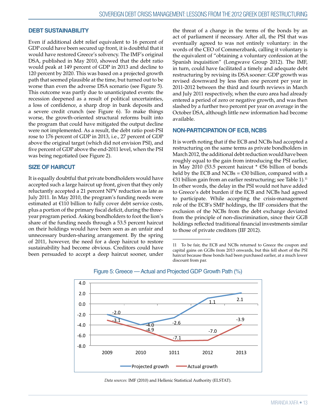#### **DEBT SUSTAINABILITY**

Even if additional debt relief equivalent to 16 percent of GDP could have been secured up front, it is doubtful that it would have restored Greece's solvency. The IMF's original DSA, published in May 2010, showed that the debt ratio would peak at 149 percent of GDP in 2013 and decline to 120 percent by 2020. This was based on a projected growth path that seemed plausible at the time, but turned out to be worse than even the adverse DSA scenario (see Figure 5). This outcome was partly due to unanticipated events: the recession deepened as a result of political uncertainties, a loss of confidence, a sharp drop in bank deposits and a severe credit crunch (see Figure 6). To make things worse, the growth-oriented structural reforms built into the program that could have mitigated the output decline were not implemented. As a result, the debt ratio post-PSI rose to 176 percent of GDP in 2013, i.e., 27 percent of GDP above the original target (which did not envision PSI), and five percent of GDP above the end-2011 level, when the PSI was being negotiated (see Figure 2).

#### **SIZE OF HAIRCUT**

It is equally doubtful that private bondholders would have accepted such a large haircut up front, given that they only reluctantly accepted a 21 percent NPV reduction as late as July 2011. In May 2010, the program's funding needs were estimated at  $E110$  billion to fully cover debt service costs, plus a portion of the primary fiscal deficit, during the threeyear program period. Asking bondholders to foot the lion's share of the funding needs through a 53.5 percent haircut on their holdings would have been seen as an unfair and unnecessary burden-sharing arrangement. By the spring of 2011, however, the need for a deep haircut to restore sustainability had become obvious. Creditors could have been persuaded to accept a deep haircut sooner, under the threat of a change in the terms of the bonds by an act of parliament if necessary. After all, the PSI that was eventually agreed to was not entirely voluntary: in the words of the CEO of Commerzbank, calling it voluntary is the equivalent of "obtaining a voluntary confession at the Spanish inquisition" (Longwave Group 2012). The IMF, in turn, could have facilitated a timely and adequate debt restructuring by revising its DSA sooner: GDP growth was revised downward by less than one percent per year in 2011-2012 between the third and fourth reviews in March and July 2011 respectively, when the euro area had already entered a period of zero or negative growth, and was then slashed by a further two percent per year on average in the October DSA, although little new information had become available.

#### **NON-PARTICIPATION OF ECB, NCBS**

It is worth noting that if the ECB and NCBs had accepted a restructuring on the same terms as private bondholders in March 2012, the additional debt reduction would have been roughly equal to the gain from introducing the PSI earlier, in May 2010 (53.5 percent haircut \* €56 billion of bonds held by the ECB and NCBs =  $\epsilon$ 30 billion, compared with a €31 billion gain from an earlier restructuring; see Table 1).11 In other words, the delay in the PSI would not have added to Greece's debt burden if the ECB and NCBs had agreed to participate. While accepting the crisis-management role of the ECB's SMP holdings, the IIF considers that the exclusion of the NCBs from the debt exchange deviated from the principle of non-discrimination, since their GGB holdings reflected traditional financial investments similar to those of private creditors (IIF 2012).

<sup>11</sup> To be fair, the ECB and NCBs returned to Greece the coupon and capital gains on GGBs from 2013 onwards, but this fell short of the PSI haircut because these bonds had been purchased earlier, at a much lower discount from par.



# Figure 5: Greece — Actual and Projected GDP Growth Path (%)

*Data sources:* IMF (2010) and Hellenic Statistical Authority (ELSTAT).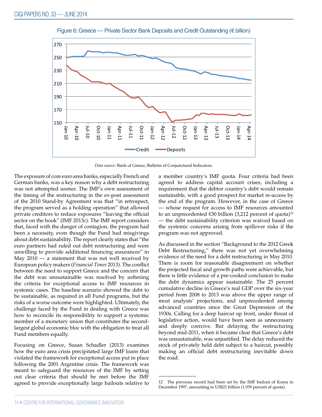

Figure 6: Greece — Private Sector Bank Deposits and Credit Outstanding (€ billion)

*Data source:* Bank of Greece, Bulletin of Conjunctural Indicators.

The exposure of core euro area banks, especially French and German banks, was a key reason why a debt restructuring was not attempted sooner. The IMF's own assessment of the timing of the restructuring in the ex-post assessment of the 2010 Stand-by Agreement was that "in retrospect, the program served as a holding operation" that allowed private creditors to reduce exposures "leaving the official sector on the hook" (IMF 2013c). The IMF report considers that, faced with the danger of contagion, the program had been a necessity, even though the Fund had misgivings about debt sustainability. The report clearly states that "the euro partners had ruled out debt restructuring and were unwilling to provide additional financing assurances" in May  $2010 - a$  statement that was not well received by European policy makers (*Financial Times* 2013). The conflict between the need to support Greece and the concern that the debt was unsustainable was resolved by softening the criteria for exceptional access to IMF resources in systemic cases. The baseline scenario showed the debt to be sustainable, as required in all Fund programs, but the risks of a worse outcome were highlighted. Ultimately, the challenge faced by the Fund in dealing with Greece was how to reconcile its responsibility to support a systemic member of a monetary union that constitutes the secondlargest global economic bloc with the obligation to treat all Fund members equally.

Focusing on Greece, Susan Schadler (2013) examines how the euro area crisis precipitated large IMF loans that violated the framework for exceptional access put in place following the 2001 Argentine crisis. The framework was meant to safeguard the resources of the IMF by setting out clear criteria that should be met before the IMF agreed to provide exceptionally large bailouts relative to a member country's IMF quota. Four criteria had been agreed to address capital account crises, including a requirement that the debtor country's debt would remain sustainable, with a good prospect for market re-access by the end of the program. However, in the case of Greece — whose request for access to IMF resources amounted to an unprecedented  $\epsilon$ 30 billion (3,212 percent of quota)<sup>12</sup> — the debt sustainability criterion was waived based on the systemic concerns arising from spillover risks if the program was not approved.

As discussed in the section "Background to the 2012 Greek Debt Restructuring," there was not yet overwhelming evidence of the need for a debt restructuring in May 2010. There is room for reasonable disagreement on whether the projected fiscal and growth paths were achievable, but there is little evidence of a pre-cooked conclusion to make the debt dynamics appear sustainable. The 25 percent cumulative decline in Greece's real GDP over the six-year period from 2008 to 2013 was above the upper range of most analysts' projections, and unprecedented among advanced countries since the Great Depression of the 1930s. Calling for a deep haircut up front, under threat of legislative action, would have been seen as unnecessary and deeply coercive. But delaying the restructuring beyond mid-2011, when it became clear that Greece's debt was unsustainable, was unjustified. The delay reduced the stock of privately held debt subject to a haircut, possibly making an official debt restructuring inevitable down the road.

<sup>12</sup> The previous record had been set by the IMF bailout of Korea in December 1997, amounting to US\$21 billion (1,939 percent of quota).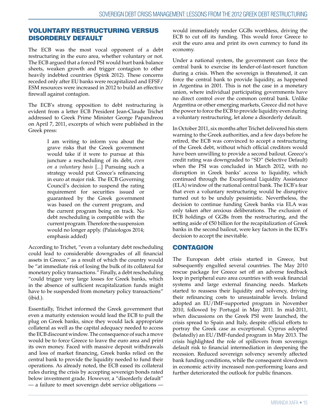### VOLUNTARY RESTRUCTURING VERSUS DISORDERLY DEFAULT

The ECB was the most vocal opponent of a debt restructuring in the euro area, whether voluntary or not. The ECB argued that a forced PSI would hurt bank balance sheets, weaken growth and trigger contagion to other heavily indebted countries (Spink 2012). These concerns receded only after EU banks were recapitalized and EFSF/ ESM resources were increased in 2012 to build an effective firewall against contagion.

The ECB's strong opposition to debt restructuring is evident from a letter ECB President Jean-Claude Trichet addressed to Greek Prime Minister George Papandreou on April 7, 2011, excerpts of which were published in the Greek press:

> I am writing to inform you about the grave risks that the Greek government would take if it were to pursue at this juncture a rescheduling of its debt, *even on a voluntary basis* [...] Pursuing such a strategy would put Greece's refinancing in euro at major risk. The ECB Governing Council's decision to suspend the rating requirement for securities issued or guaranteed by the Greek government was based on the current program, and the current program being on track. No debt rescheduling is compatible with the current program. Therefore the suspension would no longer apply. (Palaiologos 2014; emphasis added)

According to Trichet, "even a voluntary debt rescheduling could lead to considerable downgrades of all financial assets in Greece," as a result of which the country would be "at immediate risk of losing the bulk of its collateral for monetary policy transactions." Finally, a debt rescheduling "could trigger very large losses for Greek banks, which in the absence of sufficient recapitalization funds might have to be suspended from monetary policy transactions" (ibid.).

Essentially, Trichet informed the Greek government that even a maturity extension would lead the ECB to pull the plug on Greek banks, since they would lack appropriate collateral as well as the capital adequacy needed to access the ECB discount window. The consequence of such a move would be to force Greece to leave the euro area and print its own money. Faced with massive deposit withdrawals and loss of market financing, Greek banks relied on the central bank to provide the liquidity needed to fund their operations. As already noted, the ECB eased its collateral rules during the crisis by accepting sovereign bonds rated below investment grade. However, a "disorderly default" — a failure to meet sovereign debt service obligations —

would immediately render GGBs worthless, driving the ECB to cut off its funding. This would force Greece to exit the euro area and print its own currency to fund its economy.

Under a national system, the government can force the central bank to exercise its lender-of-last-resort function during a crisis. When the sovereign is threatened, it can force the central bank to provide liquidity, as happened in Argentina in 2001. This is not the case in a monetary union, where individual participating governments have no direct control over the common central bank. Unlike Argentina or other emerging markets, Greece did not have the power to force the ECB to provide liquidity even during a voluntary restructuring, let alone a disorderly default.

In October 2011, six months after Trichet delivered his stern warning to the Greek authorities, and a few days before he retired, the ECB was convinced to accept a restructuring of the Greek debt, without which official creditors would have been unwilling to provide a second bailout. Greece's credit rating was downgraded to "SD" (Selective Default) when the PSI was concluded in March 2012, with no disruption in Greek banks' access to liquidity, which continued through the Exceptional Liquidity Assistance (ELA) window of the national central bank. The ECB's fear that even a voluntary restructuring would be disruptive turned out to be unduly pessimistic. Nevertheless, the decision to continue funding Greek banks via ELA was only taken after anxious deliberations. The exclusion of ECB holdings of GGBs from the restructuring, and the setting aside of €50 billion for the recapitalization of Greek banks in the second bailout, were key factors in the ECB's decision to accept the inevitable.

### **CONTAGION**

The European debt crisis started in Greece, but subsequently engulfed several countries. The May 2010 rescue package for Greece set off an adverse feedback loop in peripheral euro area countries with weak financial systems and large external financing needs. Markets started to reassess their liquidity and solvency, driving their refinancing costs to unsustainable levels. Ireland adopted an EU/IMF-supported program in November 2010, followed by Portugal in May 2011. In mid-2011, when discussions on the Greek PSI were launched, the crisis spread to Spain and Italy, despite official efforts to portray the Greek case as exceptional. Cyprus adopted (belatedly) an EU/IMF-funded program in May 2013. The crisis highlighted the role of spillovers from sovereign default risk to financial intermediation in deepening the recession. Reduced sovereign solvency severely affected bank funding conditions, while the consequent slowdown in economic activity increased non-performing loans and further deteriorated the outlook for public finances.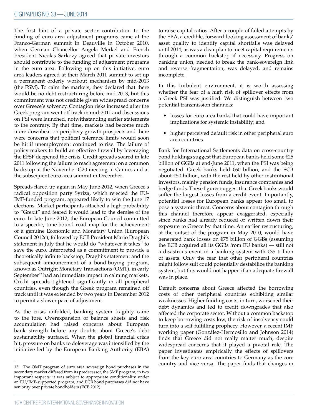The first hint of a private sector contribution to the funding of euro area adjustment programs came at the Franco-German summit in Deauville in October 2010, when German Chancellor Angela Merkel and French President Nicolas Sarkozy agreed that private investors should contribute to the funding of adjustment programs in the euro area. Following up on this initiative, euro area leaders agreed at their March 2011 summit to set up a permanent orderly workout mechanism by mid-2013 (the ESM). To calm the markets, they declared that there would be no debt restructuring before mid-2013, but this commitment was not credible given widespread concerns over Greece's solvency. Contagion risks increased after the Greek program went off track in mid-2011 and discussions on PSI were launched, notwithstanding earlier statements to the contrary. By that time, markets had become much more downbeat on periphery growth prospects and there were concerns that political tolerance limits would soon be hit if unemployment continued to rise. The failure of policy makers to build an effective firewall by leveraging the EFSF deepened the crisis. Credit spreads soared in late 2011 following the failure to reach agreement on a common backstop at the November G20 meeting in Cannes and at the subsequent euro area summit in December.

Spreads flared up again in May-June 2012, when Greece's radical opposition party Syriza, which rejected the EU-IMF-funded program, appeared likely to win the June 17 elections. Market participants attached a high probability to "Grexit" and feared it would lead to the demise of the euro. In late June 2012, the European Council committed to a specific, time-bound road map for the achievement of a genuine Economic and Monetary Union (European Council 2012c), followed by ECB President Mario Draghi's statement in July that he would do "whatever it takes" to save the euro. Interpreted as a commitment to provide a theoretically infinite backstop, Draghi's statement and the subsequent announcement of a bond-buying program, known as Outright Monetary Transactions (OMT), in early September<sup>13</sup> had an immediate impact in calming markets. Credit spreads tightened significantly in all peripheral countries, even though the Greek program remained off track until it was extended by two years in December 2012 to permit a slower pace of adjustment.

As the crisis unfolded, banking system fragility came to the fore. Overexpansion of balance sheets and risk accumulation had raised concerns about European bank strength before any doubts about Greece's debt sustainability surfaced. When the global financial crisis hit, pressure on banks to deleverage was intensified by the initiative led by the European Banking Authority (EBA)

to raise capital ratios. After a couple of failed attempts by the EBA, a credible, forward-looking assessment of banks' asset quality to identify capital shortfalls was delayed until 2014, as was a clear plan to meet capital requirements through a common backstop if necessary. Progress on banking union, needed to break the bank-sovereign link and reverse fragmentation, was delayed, and remains incomplete.

In this turbulent environment, it is worth assessing whether the fear of a high risk of spillover effects from a Greek PSI was justified. We distinguish between two potential transmission channels:

- losses for euro area banks that could have important implications for systemic instability; and
- higher perceived default risk in other peripheral euro area countries.

Bank for International Settlements data on cross-country bond holdings suggest that European banks held some €25 billion of GGBs at end-June 2011, when the PSI was being negotiated. Greek banks held €60 billion, and the ECB about €50 billion, with the rest held by other institutional investors, mainly pension funds, insurance companies and hedge funds. These figures suggest that Greek banks would suffer the largest losses from a credit event. Importantly, potential losses for European banks appear too small to pose a systemic threat. Concerns about contagion through this channel therefore appear exaggerated, especially since banks had already reduced or written down their exposure to Greece by that time. An earlier restructuring, at the outset of the program in May 2010, would have generated bank losses on €75 billion of GGBs (assuming the ECB acquired all its GGBs from EU banks) — still not a disastrous event in a banking system with €35 trillion of assets. Only the fear that other peripheral countries might follow suit could potentially destabilize the banking system, but this would not happen if an adequate firewall was in place.

Default concerns about Greece affected the borrowing costs of other peripheral countries exhibiting similar weaknesses. Higher funding costs, in turn, worsened their debt dynamics and led to credit downgrades that also affected the corporate sector. Without a common backstop to keep borrowing costs low, the risk of insolvency could turn into a self-fulfilling prophecy. However, a recent IMF working paper (González-Hermosillo and Johnson 2014) finds that Greece did not really matter much, despite widespread concerns that it played a pivotal role. The paper investigates empirically the effects of spillovers from the key euro area countries to Germany as the core country and vice versa. The paper finds that changes in

<sup>13</sup> The OMT program of euro area sovereign bond purchases in the secondary market differed from its predecessor, the SMP program, in two important respects: it was subject to appropriate conditionality under an EU/IMF-supported program, and ECB bond purchases did not have seniority over private bondholders (ECB 2012).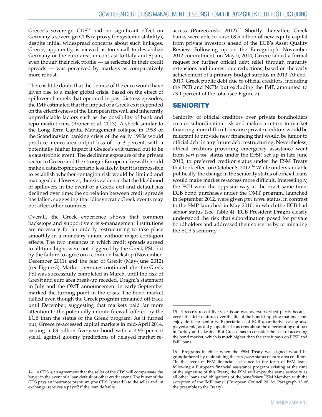Greece's sovereign CDS<sup>14</sup> had no significant effect on Germany's sovereign CDS (a proxy for systemic stability), despite initial widespread concerns about such linkages. Greece, apparently, is viewed as too small to destabilize Germany or the euro area, in contrast to Italy and Spain, even though their risk profile — as reflected in their credit spreads — was perceived by markets as comparatively more robust.

There is little doubt that the demise of the euro would have given rise to a major global crisis. Based on the effect of spillover channels that operated in past distress episodes, the IMF estimated that the impact of a Greek exit depended on the effectiveness of the European firewall and inherently unpredictable factors such as the possibility of bank and repo-market runs (Broner et al. 2013). A shock similar to the Long-Term Capital Management collapse in 1998 or the Scandinavian banking crisis of the early 1990s would produce a euro area output loss of 1.5–3 percent, with a potentially higher impact if Greece's exit turned out to be a catastrophic event. The declining exposure of the private sector to Greece and the stronger European firewall should make a catastrophic scenario less likely, but it is impossible to establish whether contagion risk would be limited and manageable. However, there is evidence that the likelihood of spillovers in the event of a Greek exit and default has declined over time; the correlation between credit spreads has fallen, suggesting that idiosyncratic Greek events may not affect other countries.

Overall, the Greek experience shows that common backstops and supportive crisis-management institutions are necessary for an orderly restructuring to take place smoothly in a monetary union, without major contagion effects. The two instances in which credit spreads surged to all-time highs were not triggered by the Greek PSI, but by the failure to agree on a common backstop (November-December 2011) and the fear of Grexit (May-June 2012) (see Figure 3). Market pressures continued after the Greek PSI was successfully completed in March, until the risk of Grexit and euro area break-up receded. Draghi's statement in July and the OMT announcement in early September marked the turning point in the crisis. The bond market rallied even though the Greek program remained off track until December, suggesting that markets paid far more attention to the potentially infinite firewall offered by the ECB than the status of the Greek program. As it turned out, Greece re-accessed capital markets in mid-April 2014, issuing a €3 billion five-year bond with a 4.95 percent yield, against gloomy predictions of delayed market reaccess (Porzecanski 2012).<sup>15</sup> Shortly thereafter, Greek banks were able to raise €8.5 billion of new equity capital from private investors ahead of the ECB's Asset Quality Review. Following up on the Eurogroup's November 2012 commitment, on May 5, 2014, Greece tabled a formal request for further official debt relief through maturity extensions and interest rate reductions, based on the early achievement of a primary budget surplus in 2013. At end-2013, Greek public debt due to official creditors, including the ECB and NCBs but excluding the IMF, amounted to 73.1 percent of the total (see Figure 7).

### **SENIORITY**

Seniority of official creditors over private bondholders creates subordination risk and makes a return to market financing more difficult, because private creditors would be reluctant to provide new financing that would be junior to official debt in any future debt restructuring. Nevertheless, official creditors providing emergency assistance went from *pari passu* status under the EFSF, set up in late June 2010, to preferred creditor status under the ESM Treaty that took effect on October 8, 2012.<sup>16</sup> While understandable politically, the change in the seniority status of official loans would make market re-access more difficult. Interestingly, the ECB went the opposite way at the exact same time: ECB bond purchases under the OMT program, launched in September 2012, were given *pari passu* status, in contrast to the SMP launched in May 2010, in which the ECB had senior status (see Table 4). ECB President Draghi clearly understood the risk that subordination posed for private bondholders and addressed their concerns by terminating the ECB's seniority.

<sup>14</sup> A CDS is an agreement that the seller of the CDS will compensate the buyer in the event of a loan default or other credit event. The buyer of the CDS pays an insurance premium (the CDS "spread") to the seller and, in exchange, receives a payoff if the loan defaults.

<sup>15</sup> Greece's recent five-year issue was oversubscribed partly because very little debt matures over the life of the bond, implying that investors enjoy de facto seniority. Expectations of ECB quantitative easing also played a role, as did geopolitical concerns about the deteriorating outlook in Turkey and Ukraine. But Greece has to consider the cost of accessing the bond market, which is much higher than the rate it pays on EFSF and IMF loans.

<sup>16</sup> Programs in effect when the ESM Treaty was signed would be grandfathered by maintaining the *pari passu* status of euro area creditors: "In the event of ESM financial assistance in the form of ESM loans following a European financial assistance program existing at the time of the signature of this Treaty, the ESM will enjoy the same seniority as all other loans and obligations of the beneficiary ESM Member, with the exception of the IMF loans" (European Council 2012d, Paragraph 13 of the preamble to the Treaty).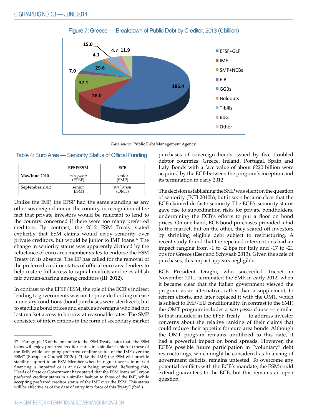

#### Figure 7: Greece — Breakdown of Public Debt by Creditor, 2013 (€ billion)

*Data source:* Public Debt Management Agency.

|                | <b>EFSF/ESM</b>      | ECB             |
|----------------|----------------------|-----------------|
| May/June 2010  | parı passu<br>(EFSF) | senior<br>(SMP) |
| September 2012 | senior<br>(ESM)      | parı passu      |

| Table 4: Euro Area — Seniority Status of Official Funding |  |
|-----------------------------------------------------------|--|
|-----------------------------------------------------------|--|

Unlike the IMF, the EFSF had the same standing as any other sovereign claim on the country, in recognition of the fact that private investors would be reluctant to lend to the country concerned if there were too many preferred creditors. By contrast, the 2012 ESM Treaty stated explicitly that ESM claims would enjoy seniority over private creditors, but would be junior to IMF loans.17 The change in seniority status was apparently dictated by the reluctance of euro area member states to endorse the ESM Treaty in its absence. The IIF has called for the removal of the preferred creditor status of official euro area lenders to help restore full access to capital markets and re-establish fair burden-sharing among creditors (IIF 2012).

In contrast to the EFSF/ESM, the role of the ECB's indirect lending to governments was not to provide funding or ease monetary conditions (bond purchases were sterilized), but to stabilize bond prices and enable sovereigns who had not lost market access to borrow at reasonable rates. The SMP consisted of interventions in the form of secondary market

purchases of sovereign bonds issued by five troubled debtor countries: Greece, Ireland, Portugal, Spain and Italy. Bonds with a face value of about €220 billion were acquired by the ECB between the program's inception and its termination in early 2012.

The decision establishing the SMP was silent on the question of seniority (ECB 2010b), but it soon became clear that the ECB claimed de facto seniority. The ECB's seniority status gave rise to subordination risks for private bondholders, undermining the ECB's efforts to put a floor on bond prices. On one hand, ECB bond purchases provided a bid to the market, but on the other, they scared off investors by shrinking eligible debt subject to restructuring. A recent study found that the repeated interventions had an impact ranging from -1 to -2 bps for Italy and -17 to -21 bps for Greece (Eser and Schwaab 2013). Given the scale of purchases, this impact appears negligible.

ECB President Draghi, who succeeded Trichet in November 2011, terminated the SMP in early 2012, when it became clear that the Italian government viewed the program as an alternative, rather than a supplement, to reform efforts, and later replaced it with the OMT, which is subject to IMF/EU conditionality. In contrast to the SMP, the OMT program includes a *pari passu* clause — similar to that included in the EFSF Treaty — to address investor concerns about the relative ranking of their claims that could reduce their appetite for euro area bonds. Although the OMT program remains unutilized to this date, it had a powerful impact on bond spreads. However, the ECB's possible future participation in "voluntary" debt restructurings, which might be considered as financing of government deficits, remains untested. To overcome any potential conflicts with the ECB's mandate, the ESM could extend guarantees to the ECB, but this remains an open question.

<sup>17</sup> Paragraph 13 of the preamble to the ESM Treaty states that "the ESM loans will enjoy preferred creditor status in a similar fashion to those of the IMF, while accepting preferred creditor status of the IMF over the ESM" (European Council 2012d). "Like the IMF, the ESM will provide stability support to an ESM Member when its regular access to market financing is impaired or is at risk of being impaired. Reflecting this, Heads of State or Government have stated that the ESM loans will enjoy preferred creditor status in a similar fashion to those of the IMF, while accepting preferred creditor status of the IMF over the ESM. This status will be effective as of the date of entry into force of this Treaty" (ibid.).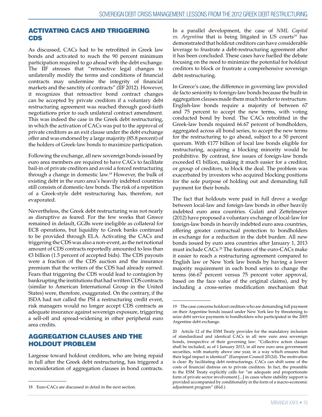### ACTIVATING CACS AND TRIGGERING CDS

As discussed, CACs had to be retrofitted in Greek law bonds and activated to reach the 90 percent minimum participation required to go ahead with the debt exchange. The IIF stresses that "retroactive legal changes to unilaterally modify the terms and conditions of financial contracts may undermine the integrity of financial markets and the sanctity of contracts" (IIF 2012). However, it recognizes that retroactive bond contract changes can be accepted by private creditors if a voluntary debt restructuring agreement was reached through good-faith negotiations prior to such unilateral contract amendment. This was indeed the case in the Greek debt restructuring, in which the activation of CACs was put to the approval of private creditors as an exit clause under the debt exchange offer and was endorsed by a large majority (85.8 percent) of the holders of Greek-law bonds to maximize participation.

Following the exchange, all new sovereign bonds issued by euro area members are required to have CACs to facilitate bail-in of private creditors and avoid a forced restructuring through a change in domestic law.18 However, the bulk of existing debt in the euro area's heavily indebted countries still consists of domestic-law bonds. The risk of a repetition of a Greek-style debt restructuring has, therefore, not evaporated.

Nevertheless, the Greek debt restructuring was not nearly as disruptive as feared. For the few weeks that Greece remained in default, GGBs were ineligible as collateral for ECB operations, but liquidity to Greek banks continued to be provided through ELA. Activating the CACs and triggering the CDS was also a non-event, as the net notional amount of CDS contracts reportedly amounted to less than €3 billion (1.5 percent of accepted bids). The CDS payouts were a fraction of the CDS auction and the insurance premium that the writers of the CDS had already earned. Fears that triggering the CDS would lead to contagion by bankrupting the institutions that had written CDS contracts (similar to American International Group in the United States) were, therefore, exaggerated. On the contrary, if the ISDA had not called the PSI a restructuring credit event, risk managers would no longer accept CDS contracts as adequate insurance against sovereign exposure, triggering a sell-off and spread-widening in other peripheral euro area credits.

### AGGREGATION CLAUSES AND THE HOLDOUT PROBLEM

Largesse toward holdout creditors, who are being repaid in full after the Greek debt restructuring, has triggered a reconsideration of aggregation clauses in bond contracts.

In a parallel development, the case of *NML Capital vs. Argentina* that is being litigated in US courts<sup>19</sup> has demonstrated that holdout creditors can have considerable leverage to frustrate a debt-restructuring agreement after it has been concluded. These cases have fuelled the debate focusing on the need to minimize the potential for holdout creditors to block or frustrate a comprehensive sovereign debt restructuring.

In Greece's case, the difference in governing law provided de facto seniority to foreign-law bonds because the built-in aggregation clauses made them much harder to restructure. English-law bonds require a majority of between 67 and 75 percent to accept the new terms, with voting conducted bond by bond. The CACs retrofitted in the Greek-law bonds required 66.67 percent of bondholders, aggregated across all bond series, to accept the new terms for the restructuring to go ahead, subject to a 50 percent quorum. With €177 billion of local law bonds eligible for restructuring, acquiring a blocking minority would be prohibitive. By contrast, few issues of foreign-law bonds exceeded €1 billion, making it much easier for a creditor, or group of creditors, to block the deal. The problem was exacerbated by investors who acquired blocking positions for the sole purpose of holding out and demanding full payment for their bonds.

The fact that holdouts were paid in full drove a wedge between local-law and foreign-law bonds in other heavily indebted euro area countries. Gulati and Zettelmeyer (2012) have proposed a voluntary exchange of local-law for foreign-law bonds in heavily indebted euro area countries, offering greater contractual protection to bondholders in exchange for a reduction in the debt burden. All new bonds issued by euro area countries after January 1, 2013 must include CACs.20 The features of the euro-CACs make it easier to reach a restructuring agreement compared to English law or New York law bonds by having a lower majority requirement in each bond series to change the terms (66.67 percent versus 75 percent voter approval, based on the face value of the original claims), and by including a cross-series modification mechanism that

<sup>18</sup> Euro-CACs are discussed in detail in the next section.

<sup>19</sup> The case concerns holdout creditors who are demanding full payment on their Argentine bonds issued under New York law by threatening to seize debt service payments to bondholders who participated in the 2005 Argentine debt exchange.

<sup>20</sup> Article 12 of the ESM Treaty provides for the mandatory inclusion of standardized and identical CACs in all new euro area sovereign bonds, irrespective of their governing law: "Collective action clauses shall be included, as of 1 January 2013, in all new euro area government securities, with maturity above one year, in a way which ensures that their legal impact is identical" (European Council 2012d). The motivation is clear: By facilitating debt restructurings, CACs can shift some of the costs of financial distress on to private creditors. In fact, the preamble to the ESM Treaty explicitly calls for "an adequate and proportionate form of private sector involvement [...] in cases where stability support is provided accompanied by conditionality in the form of a macro-economic adjustment program" (ibid.).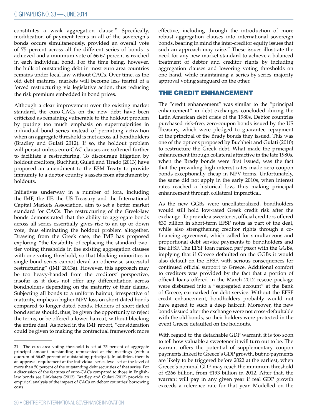constitutes a weak aggregation clause.<sup>21</sup> Specifically, modification of payment terms in all of the sovereign's bonds occurs simultaneously, provided an overall vote of 75 percent across all the different series of bonds is achieved and a minimum vote of 66.67 percent is reached in each individual bond. For the time being, however, the bulk of outstanding debt in most euro area countries remains under local law without CACs. Over time, as the old debt matures, markets will become less fearful of a forced restructuring via legislative action, thus reducing the risk premium embedded in bond prices.

Although a clear improvement over the existing market standard, the euro-CACs on the new debt have been criticized as remaining vulnerable to the holdout problem by putting too much emphasis on supermajorities in individual bond series instead of permitting activation when an aggregate threshold is met across all bondholders (Bradley and Gulati 2012). If so, the holdout problem will persist unless euro-CAC clauses are softened further to facilitate a restructuring. To discourage litigation by holdout creditors, Buchheit, Gulati and Tirado (2013) have proposed an amendment to the ESM Treaty to provide immunity to a debtor country's assets from attachment by holdouts.

Initiatives underway in a number of fora, including the IMF, the IIF, the US Treasury and the International Capital Markets Association, aim to set a better market standard for CACs. The restructuring of the Greek-law bonds demonstrated that the ability to aggregate bonds across all series essentially gives rise to an up or down vote, thus eliminating the holdout problem altogether. Drawing from the Greek case, the IMF has proposed exploring *"*the feasibility of replacing the standard twotier voting thresholds in the existing aggregation clauses with one voting threshold, so that blocking minorities in single bond series cannot derail an otherwise successful restructuring*"* (IMF 2013a). However, this approach may be too heavy-handed from the creditors' perspective, insofar as it does not offer any differentiation across bondholders depending on the maturity of their claims. Subjecting all bonds to a uniform haircut, irrespective of maturity, implies a higher NPV loss on short-dated bonds compared to longer-dated bonds. Holders of short-dated bond series should, thus, be given the opportunity to reject the terms, or be offered a lower haircut, without blocking the entire deal. As noted in the IMF report, "consideration could be given to making the contractual framework more

effective, including through the introduction of more robust aggregation clauses into international sovereign bonds, bearing in mind the inter-creditor equity issues that such an approach may raise." These issues illustrate the need for any new market standard to achieve a balanced treatment of debtor and creditor rights by including aggregation clauses and lowering voting thresholds on one hand, while maintaining a series-by-series majority approval voting safeguard on the other.

### THE CREDIT ENHANCEMENT

The "credit enhancement" was similar to the "principal enhancement" in debt exchanges concluded during the Latin American debt crisis of the 1980s. Debtor countries purchased risk-free, zero-coupon bonds issued by the US Treasury, which were pledged to guarantee repayment of the principal of the Brady bonds they issued. This was one of the options proposed by Buchheit and Gulati (2010) to restructure the Greek debt. What made the principal enhancement through collateral attractive in the late 1980s, when the Brady bonds were first issued, was the fact that the prevailing high interest rates made zero-coupon bonds exceptionally cheap in NPV terms. Unfortunately, the same did not apply in the early 2010s, when interest rates reached a historical low, thus making principal enhancement through collateral impractical.

As the new GGBs were uncollateralized, bondholders would still hold low-rated Greek credit risk after the exchange. To provide a sweetener, official creditors offered €30 billion in short-term EFSF notes as part of the deal, while also strengthening creditor rights through a cofinancing agreement, which called for simultaneous and proportional debt service payments to bondholders and the EFSF. The EFSF loan ranked *pari passu* with the GGBs, implying that if Greece defaulted on the GGBs it would also default on the EFSF, with serious consequences for continued official support to Greece. Additional comfort to creditors was provided by the fact that a portion of official loans offered in the March 2012 rescue package were disbursed into a "segregated account" at the Bank of Greece, earmarked for debt service. Without the EFSF credit enhancement, bondholders probably would not have agreed to such a deep haircut. Moreover, the new bonds issued after the exchange were not cross-defaultable with the old bonds, so their holders were protected in the event Greece defaulted on the holdouts.

With regard to the detachable GDP warrant, it is too soon to tell how valuable a sweetener it will turn out to be. The warrant offers the potential of supplementary coupon payments linked to Greece's GDP growth, but no payments are likely to be triggered before 2022 at the earliest, when Greece's nominal GDP may reach the minimum threshold of €266 billion, from €193 billion in 2012. After that, the warrant will pay in any given year if real GDP growth exceeds a reference rate for that year. Modelled on the

<sup>21</sup> The euro area voting threshold is set at 75 percent of aggregate principal amount outstanding represented at the meetings (with a quorum of 66.67 percent of outstanding principal). In addition, there is an approval requirement at the individual series level set at the level of more than 50 percent of the outstanding debt securities of that series. For a discussion of the features of euro-CACs compared to those in Englishlaw bonds see Linklaters (2012). Bradley and Gulati (2012) provide an empirical analysis of the impact of CACs on debtor countries' borrowing costs.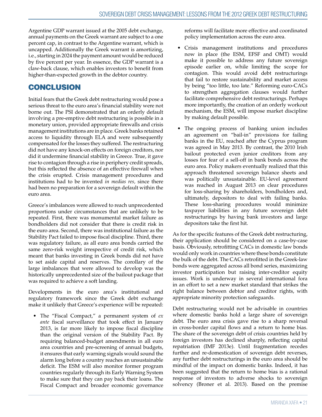Argentine GDP warrant issued at the 2005 debt exchange, annual payments on the Greek warrant are subject to a one percent cap, in contrast to the Argentine warrant, which is uncapped. Additionally the Greek warrant is amortizing, i.e., starting in 2024 the payment amount would be reduced by five percent per year. In essence, the GDP warrant is a claw-back clause, which enables investors to benefit from higher-than-expected growth in the debtor country.

# **CONCLUSION**

Initial fears that the Greek debt restructuring would pose a serious threat to the euro area's financial stability were not borne out. The PSI demonstrated that an orderly default involving a pre-emptive debt restructuring is possible in a monetary union, provided appropriate firewalls and crisis management institutions are in place. Greek banks retained access to liquidity through ELA and were subsequently compensated for the losses they suffered. The restructuring did not have any knock-on effects on foreign creditors, nor did it undermine financial stability in Greece. True, it gave rise to contagion through a rise in periphery credit spreads, but this reflected the absence of an effective firewall when the crisis erupted. Crisis management procedures and institutions had to be invented *in medias res,* since there had been no preparation for a sovereign default within the euro area.

Greece's imbalances were allowed to reach unprecedented proportions under circumstances that are unlikely to be repeated. First, there was monumental market failure as bondholders did not consider that there is credit risk in the euro area. Second, there was institutional failure as the Stability Pact failed to impose fiscal discipline. Third, there was regulatory failure, as all euro area bonds carried the same zero-risk weight irrespective of credit risk, which meant that banks investing in Greek bonds did not have to set aside capital and reserves. The corollary of the large imbalances that were allowed to develop was the historically unprecedented size of the bailout package that was required to achieve a soft landing.

Developments in the euro area's institutional and regulatory framework since the Greek debt exchange make it unlikely that Greece's experience will be repeated:

• The "Fiscal Compact," a permanent system of *ex ante* fiscal surveillance that took effect in January 2013, is far more likely to impose fiscal discipline than the original version of the Stability Pact. By requiring balanced-budget amendments in all euro area countries and pre-screening of annual budgets, it ensures that early warning signals would sound the alarm long before a country reaches an unsustainable deficit. The ESM will also monitor former program countries regularly through its Early Warning System to make sure that they can pay back their loans. The Fiscal Compact and broader economic governance

reforms will facilitate more effective and coordinated policy implementation across the euro area.

- Crisis management institutions and procedures now in place (the ESM, EFSF and OMT) would make it possible to address any future sovereign episode earlier on, while limiting the scope for contagion. This would avoid debt restructurings that fail to restore sustainability and market access by being "too little, too late." Reforming euro-CACs to strengthen aggregation clauses would further facilitate comprehensive debt restructurings. Perhaps more importantly, the creation of an orderly workout mechanism, the ESM, will impose market discipline by making default possible.
- The ongoing process of banking union includes an agreement on "bail-in" provisions for failing banks in the EU, reached after the Cyprus program was agreed in May 2013. By contrast, the 2010 Irish bailout protected even junior creditors from any losses for fear of a sell-off in bank bonds across the euro area. Policy makers eventually realized that this approach threatened sovereign balance sheets and was politically unsustainable. EU-level agreement was reached in August 2013 on clear procedures for loss-sharing by shareholders, bondholders and, ultimately, depositors to deal with failing banks. These loss-sharing procedures would minimize taxpayer liabilities in any future sovereign debt restructurings by having bank investors and large depositors take the first hit.

As for the specific features of the Greek debt restructuring, their application should be considered on a case-by-case basis. Obviously, retrofitting CACs in domestic law bonds would only work in countries where these bonds constitute the bulk of the debt. The CACs retrofitted in the Greek-law bonds were aggregated across all bond series, maximizing investor participation but raising inter-creditor equity issues. Work is underway in several international fora in an effort to set a new market standard that strikes the right balance between debtor and creditor rights, with appropriate minority protection safeguards.

Debt restructuring would not be advisable in countries where domestic banks hold a large share of sovereign debt. The euro area crisis gave rise to a sharp reversal in cross-border capital flows and a return to home bias. The share of the sovereign debt of crisis countries held by foreign investors has declined sharply, reflecting capital repatriation (IMF 2013e). Until fragmentation recedes further and re-domestication of sovereign debt reverses, any further debt restructurings in the euro area should be mindful of the impact on domestic banks. Indeed, it has been suggested that the return to home bias is a rational response of investors to adverse shocks to sovereign solvency (Broner et al. 2013). Based on the premise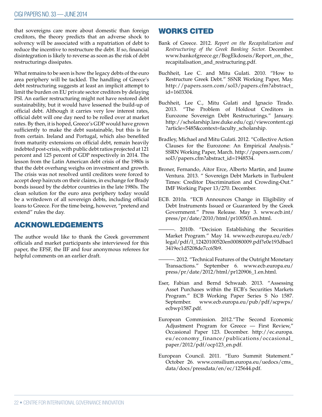that sovereigns care more about domestic than foreign creditors, the theory predicts that an adverse shock to solvency will be associated with a repatriation of debt to reduce the incentive to restructure the debt. If so, financial disintegration is likely to reverse as soon as the risk of debt restructurings dissipates.

What remains to be seen is how the legacy debts of the euro area periphery will be tackled. The handling of Greece's debt restructuring suggests at least an implicit attempt to limit the burden on EU private sector creditors by delaying PSI. An earlier restructuring might not have restored debt sustainability, but it would have lessened the build-up of official debt. Although it carries very low interest rates, official debt will one day need to be rolled over at market rates. By then, it is hoped, Greece's GDP would have grown sufficiently to make the debt sustainable, but this is far from certain. Ireland and Portugal, which also benefited from maturity extensions on official debt, remain heavily indebted post-crisis, with public debt ratios projected at 121 percent and 125 percent of GDP respectively in 2014. The lesson from the Latin American debt crisis of the 1980s is that the debt overhang weighs on investment and growth. The crisis was not resolved until creditors were forced to accept deep haircuts on their claims, in exchange for Brady bonds issued by the debtor countries in the late 1980s. The clean solution for the euro area periphery today would be a writedown of all sovereign debts, including official loans to Greece. For the time being, however, "pretend and extend" rules the day.

# ACKNOWLEDGEMENTS

The author would like to thank the Greek government officials and market participants she interviewed for this paper, the EFSF, the IIF and four anonymous referees for helpful comments on an earlier draft.

# WORKS CITED

- Bank of Greece. 2012. *Report on the Recapitalization and Restructuring of the Greek Banking Sector.* December. www.bankofgreece.gr/BogEkdoseis/Report\_on\_the\_ recapitalisation\_and\_restructuring.pdf.
- Buchheit, Lee C. and Mitu Gulati. 2010. "How to Restructure Greek Debt." SSNR Working Paper, May. http://papers.ssrn.com/sol3/papers.cfm?abstract\_ id=1603304.
- Buchheit, Lee C., Mitu Gulati and Ignacio Tirado. 2013. "The Problem of Holdout Creditors in Eurozone Sovereign Debt Restructurings." January. http://scholarship.law.duke.edu/cgi/viewcontent.cgi ?article=5485&context=faculty\_scholarship.
- Bradley, Michael and Mitu Gulati. 2012. "Collective Action Clauses for the Eurozone: An Empirical Analysis." SSRN Working Paper, March. http://papers.ssrn.com/ sol3/papers.cfm?abstract\_id=1948534.
- Broner, Fernando, Aitor Erce, Alberto Martin, and Jaume Ventura. 2013. " Sovereign Debt Markets in Turbulent Times: Creditor Discrimination and Crowding-Out." IMF Working Paper 13/270. December.
- ECB. 2010a. "ECB Announces Change in Eligibility of Debt Instruments Issued or Guaranteed by the Greek Government." Press Release. May 3. www.ecb.int/ press/pr/date/2010/html/pr100503.en.html.
- ———. 2010b. "Decision Establishing the Securities Market Program." May 14. www.ecb.europa.eu/ecb/ legal/pdf/l\_12420100520en00080009.pdf?e0e193dbae1 3419ec1d5208de7cc65b9.
- ———. 2012. "Technical Features of the Outright Monetary Transactions." September 6. www.ecb.europa.eu/ press/pr/date/2012/html/pr120906\_1.en.html.
- Eser, Fabian and Bernd Schwaab. 2013. "Assessing Asset Purchases within the ECB's Securities Markets Program." ECB Working Paper Series S No 1587. September. www.ecb.europa.eu/pub/pdf/scpwps/ ecbwp1587.pdf.
- European Commission. 2012."The Second Economic Adjustment Program for Greece — First Review," Occasional Paper 123. December. http://ec.europa. eu/economy\_finance/publications/occasional\_ paper/2012/pdf/ocp123\_en.pdf.
- European Council. 2011. "Euro Summit Statement." October 26. www.consilium.europa.eu/uedocs/cms\_ data/docs/pressdata/en/ec/125644.pdf.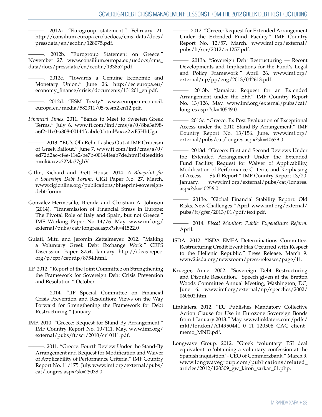———. 2012a. "Eurogroup statement." February 21. http://consilium.europa.eu/uedocs/cms\_data/docs/ pressdata/en/ecofin/128075.pdf.

———. 2012b. "Eurogroup Statement on Greece." November 27. www.consilium.europa.eu/uedocs/cms\_ data/docs/pressdata/en/ecofin/133857.pdf.

- ———. 2012c. "Towards a Genuine Economic and Monetary Union." June 26. http://ec.europa.eu/ economy\_finance/crisis/documents/131201\_en.pdf.
- ———. 2012d. "ESM Treaty." www.european-council. europa.eu/media/582311/05-tesm2.en12.pdf.
- *Financial Times*. 2011. "Banks to Meet to Sweeten Greek Terms." July 6. www.ft.com/intl/cms/s/0/8be3ef98 a6f2-11e0-a808-00144feabdc0.html#axzz2wF5HhUga.
	- ———. 2013. "EU's Olli Rehn Lashes Out at IMF Criticism of Greek Bailout." June 7. www.ft.com/intl/cms/s/0/ ed72d2ac-cf4e-11e2-be7b-00144feab7de.html?siteeditio n=uk#axzz32Ma37ghV.
- Gitlin, Richard and Brett House. 2014. *A Blueprint for a Sovereign Debt Forum*. CIGI Paper No. 27. March. www.cigionline.org/publications/blueprint-sovereigndebt-forum.
- González-Hermosillo, Brenda and Christian A. Johnson (2014). "Transmission of Financial Stress in Europe: The Pivotal Role of Italy and Spain, but not Greece." IMF Working Paper No 14/76. May. www.imf.org/ external/pubs/cat/longres.aspx?sk=41522.0
- Gulati, Mitu and Jeromin Zettelmeyer. 2012. "Making a Voluntary Greek Debt Exchange Work." CEPS Discussion Paper 8754, January. http://ideas.repec. org/p/cpr/ceprdp/8754.html.
- IIF. 2012. "Report of the Joint Committee on Strengthening the Framework for Sovereign Debt Crisis Prevention and Resolution." October.
	- ———. 2014. "IIF Special Committee on Financial Crisis Prevention and Resolution: Views on the Way Forward for Strengthening the Framework for Debt Restructuring." January.
- IMF. 2010. "Greece: Request for Stand-By Arrangement." IMF Country Report No. 10/111. May. www.imf.org/ external/pubs/ft/scr/2010/cr10111.pdf.

-. 2011. "Greece: Fourth Review Under the Stand-By Arrangement and Request for Modification and Waiver of Applicability of Performance Criteria." IMF Country Report No. 11/175. July. www.imf.org/external/pubs/ cat/longres.aspx?sk=25038.0.

———. 2012. "Greece: Request for Extended Arrangement Under the Extended Fund Facility." IMF Country Report No. 12/57, March. www.imf.org/external/ pubs/ft/scr/2012/cr1257.pdf.

- -. 2013a. "Sovereign Debt Restructuring Recent Developments and Implications for the Fund's Legal and Policy Framework." April 26. www.imf.org/ external/np/pp/eng/2013/042613.pdf.
- ———. 2013b. "Jamaica: Request for an Extended Arrangement under the EFF." IMF Country Report No. 13/126, May. www.imf.org/external/pubs/cat/ longres.aspx?sk=40549.0.
- ———. 2013c. "Greece: Ex Post Evaluation of Exceptional Access under the 2010 Stand-By Arrangement." IMF Country Report No. 13/156. June. www.imf.org/ external/pubs/cat/longres.aspx?sk=40639.0.
- ———. 2013d. "Greece: First and Second Reviews Under the Extended Arrangement Under the Extended Fund Facility, Request for Waiver of Applicability, Modification of Performance Criteria, and Re-phasing of Access — Staff Report." IMF Country Report 13/20. January. www.imf.org/external/pubs/cat/longres. aspx?sk=40256.0.
- ———. 2013e. "Global Financial Stability Report: Old Risks, New Challenges." April. www.imf.org/external/ pubs/ft/gfsr/2013/01/pdf/text.pdf.
- ———. 2014. *Fiscal Monitor: Public Expenditure Reform*. April.
- ISDA. 2012. "ISDA EMEA Determinations Committee: Restructuring Credit Event Has Occurred with Respect to the Hellenic Republic." Press Release. March 9. www2.isda.org/newsroom/press-releases/page/11.
- Krueger, Anne. 2002. "Sovereign Debt Restructuring and Dispute Resolution." Speech given at the Bretton Woods Committee Annual Meeting, Washington, DC, June 6. www.imf.org/external/np/speeches/2002/ 060602.htm.
- Linklaters. 2012. "EU Publishes Mandatory Collective Action Clause for Use in Eurozone Sovereign Bonds from 1 January 2013." May. www.linklaters.com/pdfs/ mkt/london/A14950441\_0\_11\_120508\_CAC\_client\_ memo\_MND.pdf.
- Longwave Group. 2012. "Greek 'voluntary' PSI deal equivalent to 'obtaining a voluntary confession at the Spanish inquisition' - CEO of Commerzbank." March 9. www.longwavegroup.com/publications/related\_ articles/2012/120309\_gw\_kiron\_sarkar\_01.php.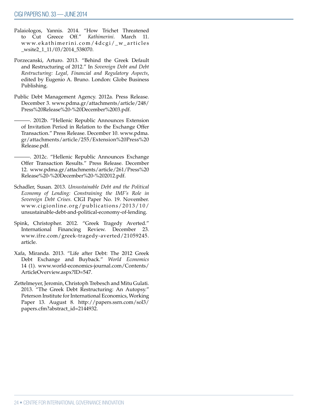- Palaiologos, Yannis. 2014. "How Trichet Threatened to Cut Greece Off." *Kathimerini*. March 11. www.ekathimerini.com/4dcgi/\_w\_articles \_wsite2\_1\_11/03/2014\_538070.
- Porzecanski, Arturo. 2013. "Behind the Greek Default and Restructuring of 2012." In *Sovereign Debt and Debt Restructuring: Legal, Financial and Regulatory Aspects*, edited by Eugenio A. Bruno. London: Globe Business Publishing.
- Public Debt Management Agency. 2012a. Press Release. December 3. www.pdma.gr/attachments/article/248/ Press%20Release%20-%20December%2003.pdf.

———. 2012b. "Hellenic Republic Announces Extension of Invitation Period in Relation to the Exchange Offer Transaction." Press Release. December 10. www.pdma. gr/attachments/article/255/Extension%20Press%20 Release.pdf.

———. 2012c. "Hellenic Republic Announces Exchange Offer Transaction Results." Press Release. December 12. www.pdma.gr/attachments/article/261/Press%20 Release%20-%20December%20-%202012.pdf.

- Schadler, Susan. 2013. *Unsustainable Debt and the Political Economy of Lending: Constraining the IMF's Role in Sovereign Debt Crises*. CIGI Paper No. 19. November. www.cigionline.org/publications/2013/10/ unsustainable-debt-and-political-economy-of-lending.
- Spink, Christopher. 2012. "Greek Tragedy Averted." International Financing Review. December 23. www.ifre.com/greek-tragedy-averted/21059245. article.
- Xafa, Miranda. 2013. "Life after Debt: The 2012 Greek Debt Exchange and Buyback." *World Economics* 14 (1). www.world-economics-journal.com/Contents/ ArticleOverview.aspx?ID=547.
- Zettelmeyer, Jeromin, Christoph Trebesch and Mitu Gulati. 2013. "The Greek Debt Restructuring: An Autopsy." Peterson Institute for International Economics, Working Paper 13. August 8. http://papers.ssrn.com/sol3/ papers.cfm?abstract\_id=2144932.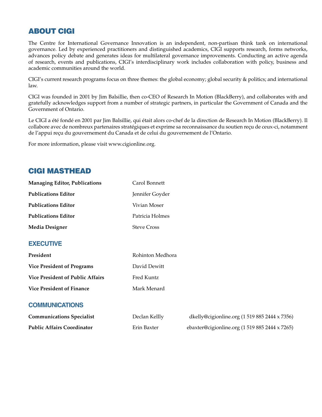# ABOUT CIGI

The Centre for International Governance Innovation is an independent, non-partisan think tank on international governance. Led by experienced practitioners and distinguished academics, CIGI supports research, forms networks, advances policy debate and generates ideas for multilateral governance improvements. Conducting an active agenda of research, events and publications, CIGI's interdisciplinary work includes collaboration with policy, business and academic communities around the world.

CIGI's current research programs focus on three themes: the global economy; global security & politics; and international law.

CIGI was founded in 2001 by Jim Balsillie, then co-CEO of Research In Motion (BlackBerry), and collaborates with and gratefully acknowledges support from a number of strategic partners, in particular the Government of Canada and the Government of Ontario.

Le CIGI a été fondé en 2001 par Jim Balsillie, qui était alors co-chef de la direction de Research In Motion (BlackBerry). Il collabore avec de nombreux partenaires stratégiques et exprime sa reconnaissance du soutien reçu de ceux-ci, notamment de l'appui reçu du gouvernement du Canada et de celui du gouvernement de l'Ontario.

For more information, please visit www.cigionline.org.

# CIGI MASTHEAD

| <b>Managing Editor, Publications</b>    | Carol Bonnett      |                                                |
|-----------------------------------------|--------------------|------------------------------------------------|
| <b>Publications Editor</b>              | Jennifer Goyder    |                                                |
| <b>Publications Editor</b>              | Vivian Moser       |                                                |
| <b>Publications Editor</b>              | Patricia Holmes    |                                                |
| <b>Media Designer</b>                   | <b>Steve Cross</b> |                                                |
| <b>EXECUTIVE</b>                        |                    |                                                |
| President                               | Rohinton Medhora   |                                                |
| <b>Vice President of Programs</b>       | David Dewitt       |                                                |
| <b>Vice President of Public Affairs</b> | Fred Kuntz         |                                                |
| <b>Vice President of Finance</b>        | Mark Menard        |                                                |
| <b>COMMUNICATIONS</b>                   |                    |                                                |
| <b>Communications Specialist</b>        | Declan Kellly      | dkelly@cigionline.org (1 519 885 2444 x 7356)  |
| <b>Public Affairs Coordinator</b>       | Erin Baxter        | ebaxter@cigionline.org (1 519 885 2444 x 7265) |